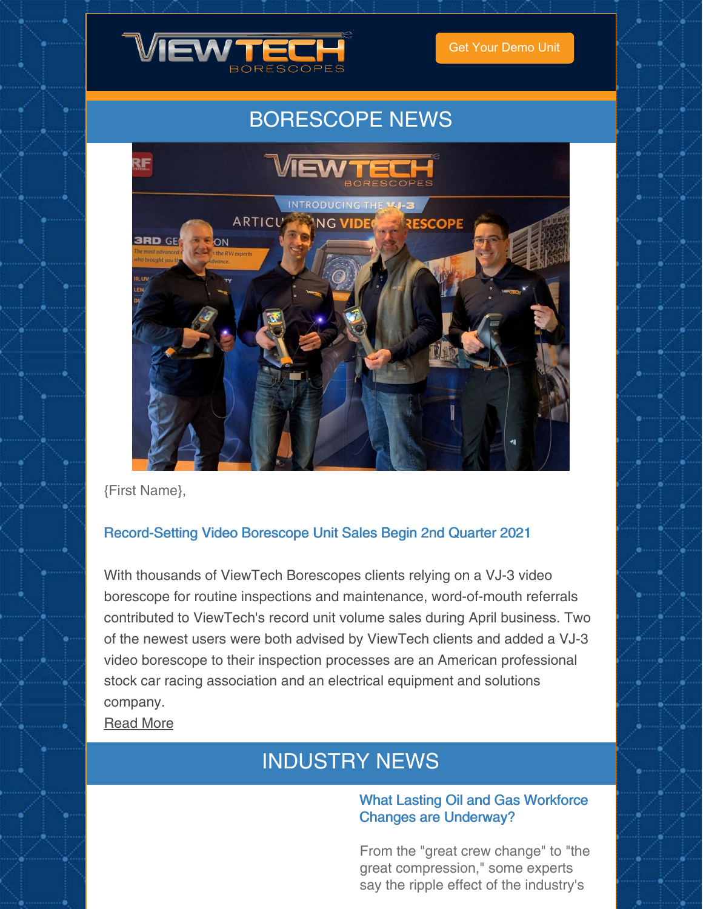

Get Your [Demo](https://www.viewtech.com/borescope-demo-offer/?utm_source=newsletter&utm_medium=email&utm_campaign=newsletter0521) Unit

## BORESCOPE NEWS



{First Name},

#### Record-Setting Video Borescope Unit Sales Begin 2nd Quarter 2021

With thousands of ViewTech Borescopes clients relying on a VJ-3 video borescope for routine inspections and maintenance, word-of-mouth referrals contributed to ViewTech's record unit volume sales during April business. Two of the newest users were both advised by ViewTech clients and added a VJ-3 video borescope to their inspection processes are an American professional stock car racing association and an electrical equipment and solutions company.

[Read](https://www.viewtech.com/record-setting-video-borescope-unit-sales-begin-second-quarter-2021/?utm_source=newsletter&utm_medium=email&utm_campaign=newsletter0521) More

# INDUSTRY NEWS

#### What Lasting Oil and Gas Workforce Changes are Underway?

From the "great crew change" to "the great compression," some experts say the ripple effect of the industry's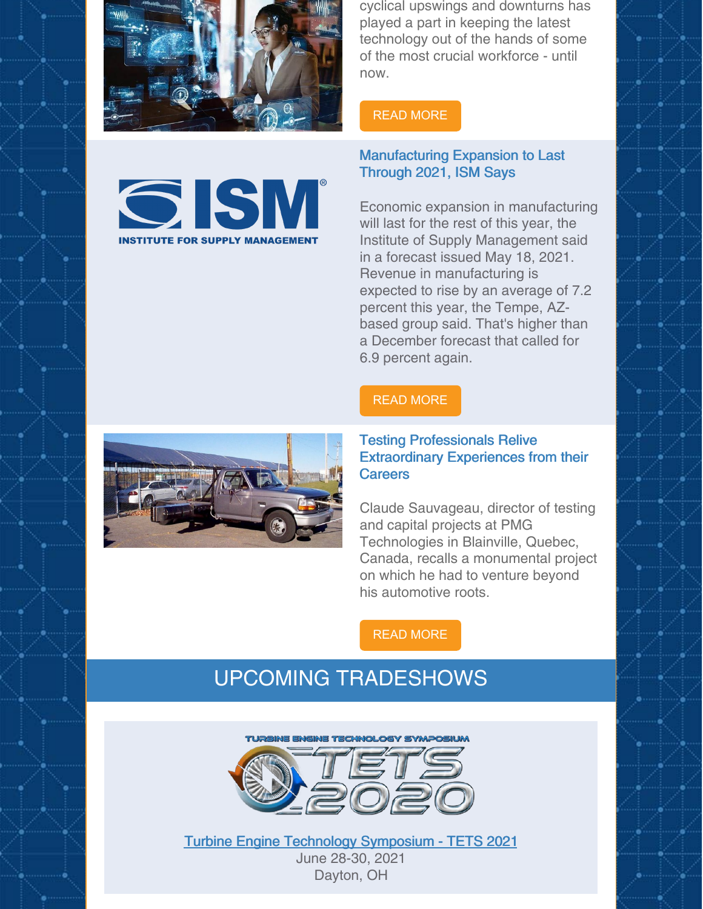

**GISM** 

**INSTITUTE FOR SUPPLY MANAGEMEN** 

cyclical upswings and downturns has played a part in keeping the latest technology out of the hands of some of the most crucial workforce - until now.

#### READ [MORE](https://www.rigzone.com/news/what_lasting_oil_and_gas_workforce_changes_are_underway-18-may-2021-165458-article/)

#### Manufacturing Expansion to Last Through 2021, ISM Says

Economic expansion in manufacturing will last for the rest of this year, the Institute of Supply Management said in a forecast issued May 18, 2021. Revenue in manufacturing is expected to rise by an average of 7.2 percent this year, the Tempe, AZbased group said. That's higher than a December forecast that called for 6.9 percent again.

#### READ [MORE](https://www.sme.org/technologies/articles/2021/may/manufacturing-expansion-to-last-through-2021-ism-says/)



#### Testing Professionals Relive Extraordinary Experiences from their **Careers**

Claude Sauvageau, director of testing and capital projects at PMG Technologies in Blainville, Quebec, Canada, recalls a monumental project on which he had to venture beyond his automotive roots.

READ [MORE](https://www.automotivetestingtechnologyinternational.com/industry-opinion/ill-never-forget.html)

### UPCOMING TRADESHOWS



Turbine Engine Technology [Symposium](https://www.viewtech.com/about-us/tradeshows/turbine-engine-technology-symposium-tets-2021/?utm_source=newsletter&utm_medium=email&utm_campaign=newsletter0521) - TETS 2021 June 28-30, 2021 Dayton, OH